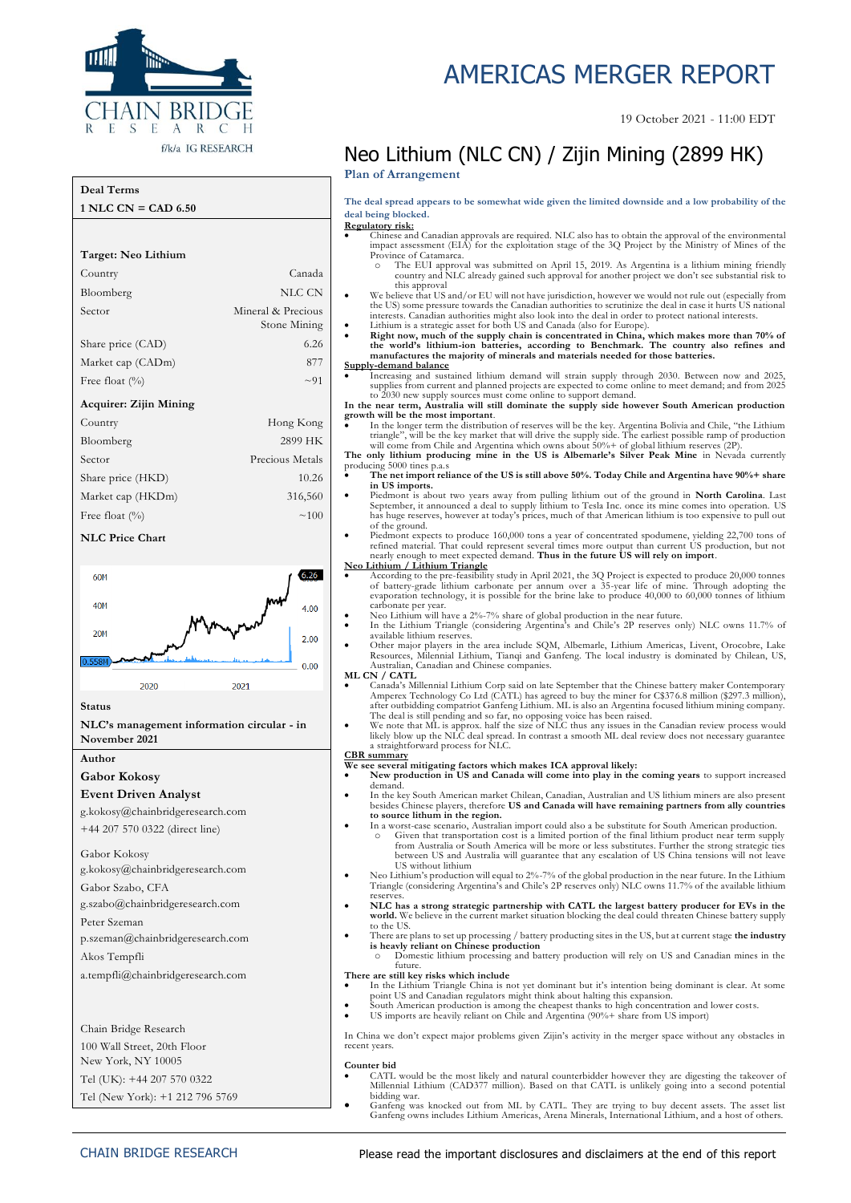

#### **Deal Terms**

| $1$ NLC CN = CAD 6.50         |                                    |  |
|-------------------------------|------------------------------------|--|
|                               |                                    |  |
| Target: Neo Lithium           |                                    |  |
| Country                       | Canada                             |  |
| Bloomberg                     | NLC CN                             |  |
| Sector                        | Mineral & Precious<br>Stone Mining |  |
| Share price (CAD)             | 6.26                               |  |
| Market cap (CADm)             | 877                                |  |
| Free float $(\%$              | $\sim$ 91                          |  |
| <b>Acquirer: Zijin Mining</b> |                                    |  |
| Country                       | Hong Kong                          |  |
| Bloomberg                     | 2899 HK                            |  |
| Sector                        | Precious Metals                    |  |
| Share price (HKD)             | 10.26                              |  |
| Market cap (HKDm)             | 316,560                            |  |
| Free float $(\%)$             | ~100                               |  |

#### **NLC Price Chart**



#### **Status**

**NLC's management information circular - in November 2021**

2021

**Author**

**Gabor Kokosy**

**Event Driven Analyst**

2020

g.kokosy@chainbridgeresearch.com +44 207 570 0322 (direct line)

Gabor Kokosy

g.kokosy@chainbridgeresearch.com

Gabor Szabo, CFA g.szabo@chainbridgeresearch.com

Peter Szeman

p.szeman@chainbridgeresearch.com

Akos Tempfli

a.tempfli@chainbridgeresearch.com

Chain Bridge Research

100 Wall Street, 20th Floor

New York, NY 10005

Tel (UK): +44 207 570 0322

Tel (New York): +1 212 796 5769

# AMERICAS MERGER REPORT

#### 19 October 2021 - 11:00 EDT

# Neo Lithium (NLC CN) / Zijin Mining (2899 HK)

#### **Plan of Arrangement**

**The deal spread appears to be somewhat wide given the limited downside and a low probability of the deal being blocked.**

#### **Regulatory risk:**

- Chinese and Canadian approvals are required. NLC also has to obtain the approval of the environmental impact assessment (EIA) for the exploitation stage of the 3Q Project by the Ministry of Mines of the Province of Catamarca.
	- o The EUI approval was submitted on April 15, 2019. As Argentina is a lithium mining friendly country and NLC already gained such approval for another project we don't see substantial risk to this approval
- We believe that US and/or EU will not have jurisdiction, however we would not rule out (especially from the US) some pressure towards the Canadian authorities to scrutinize the deal in case it hurts US national
- interests. Canadian authorities might also look into the deal in order to protect national interests.<br>
I.ithium is a strategic asset for both US and Canada (also for Europe).<br> **Example 19** Right now, much of the supply cha **manufactures the majority of minerals and materials needed for those batteries.**

# **Supply-demand balance**

• Increasing and sustained lithium demand will strain supply through 2030. Between now and 2025, supplies from current and planned projects are expected to come online to meet demand; and from 2025<br>to 2030 new supply sources must come online to support demand.<br>In the near term, Australia will still dominate the supply

# **growth will be the most important**. • In the longer term the distribution of reserves will be the key. Argentina Bolivia and Chile, "the Lithium

- triangle", will be the key market that will drive the supply side. The earliest possible ramp of production will come from Chile and Argentina which owns about 50%+ of global lithium reserves (2P). **The only lithium producing mine in the US is Albemarle's Silver Peak Mine** in Nevada currently
- producing 5000 tines p.a.s • **The net import reliance of the US is still above 50%. Today Chile and Argentina have 90%+ share**
- **in US imports.** • Piedmont is about two years away from pulling lithium out of the ground in **North Carolina**. Last September, it announced a deal to supply lithium to Tesla Inc. once its mine comes into operation. US has huge reserves, h of the ground.
- Piedmont expects to produce 160,000 tons a year of concentrated spodumene, yielding 22,700 tons of refined material. That could represent several times more output than current US production, but not nearly enough to meet expected demand. **Thus in the future US will rely on import**. **Neo Lithium / Lithium Triangle**
- According to the pre-feasibility study in April 2021, the 3Q Project is expected to produce 20,000 tonnes of battery-grade lithium carbonate per annum over a 35-year life of mine. Through adopting the evaporation technol
- 
- Neo Lithium will have a 2%-7% share of global production in the near future. In the Lithium Triangle (considering Argentina's and Chile's 2P reserves only) NLC owns 11.7% of available lithium reserves.
- Other major players in the area include SQM, Albemarle, Lithium Americas, Livent, Orocobre, Lake Resources, Milennial Lithium, Tianqi and Ganfeng. The local industry is dominated by Chilean, US, Australian, Canadian and
- ML CN / CATL<br>Canada's Millennial Lithium Corp said on late September that the Chinese battery maker Contemporary<br>Amperex Technology Co Ltd (CATL) has agreed to buy the miner for C\$376.8 million (\$297.3 million),<br>After outb
- The deal is still pending and so far, no opposing voice has been raised.<br>We note that ML is approx. half the size of NLC thus any issues in the Canadian review process would<br>likely blow up the NLC deal spread. In contrast

## **CBR summary**

# **We see several mitigating factors which makes ICA approval likely:** • **New production in US and Canada will come into play in the coming years** to support increased

- demand.
- In the key South American market Chilean, Canadian, Australian and US lithium miners are also present besides Chinese players, therefore **US and Canada will have remaining partners from ally countries to source lithum in the region.**
- In a worst-case scenario, Australian import could also a be substitute for South American production. o Given that transportation cost is a limited portion of the final lithium product near term supply from Australia or South America will be more or less substitutes. Further the strong strategic ties between US and Australia will guarantee that any escalation of US China tensions will not leave US without lithium
- Neo Lithium's production will equal to 2%-7% of the global production in the near future. In the Lithium Triangle (considering Argentina's and Chile's 2P reserves only) NLC owns 11.7% of the available lithium
- reserves. **NLC has a strong strategic partnership with CATL the largest battery producer for EVs in the world.** We believe in the current market situation blocking the deal could threaten Chinese battery supply to the US.
- There are plans to set up processing / battery producting sites in the US, but at current stage **the industry is heavly reliant on Chinese production**
- o Domestic lithium processing and battery production will rely on US and Canadian mines in the future.
- 
- There are still key risks which include<br>
 In the Lithium Triangle China is not yet dominant but it's intention being dominant is clear. At some<br>
point US and Canadian regulators might think about halting this expansion.<br>
- 

In China we don't expect major problems given Zijin's activity in the merger space without any obstacles in recent years.

#### **Counter bid**

- CATL would be the most likely and natural counterbidder however they are digesting the takeover of Millennial Lithium (CAD377 million). Based on that CATL is unlikely going into a second potential bidding war.
- Ganfeng was knocked out from ML by CATL. They are trying to buy decent assets. The asset list Ganfeng owns includes Lithium Americas, Arena Minerals, International Lithium, and a host of others.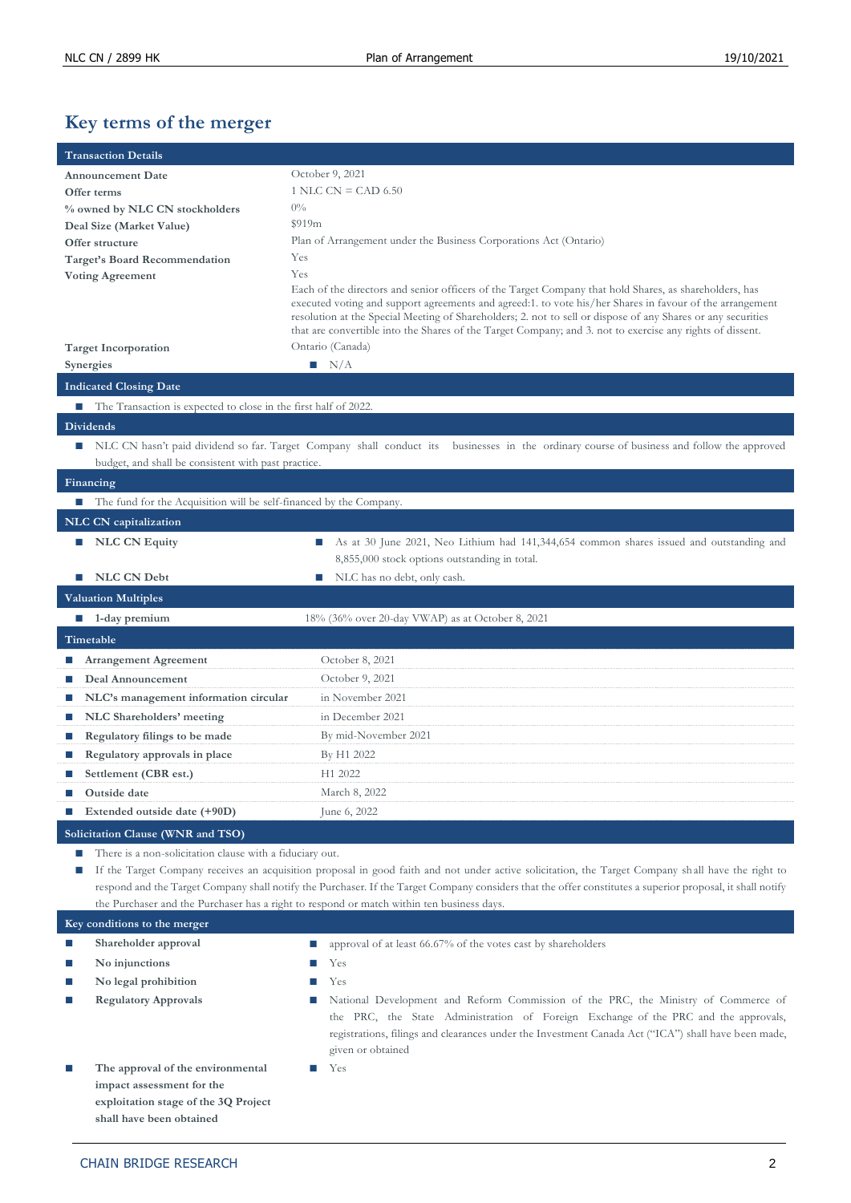# **Key terms of the merger**

| <b>Transaction Details</b>        |                                                                    |                                                                                                                                                                                                                           |  |  |
|-----------------------------------|--------------------------------------------------------------------|---------------------------------------------------------------------------------------------------------------------------------------------------------------------------------------------------------------------------|--|--|
| <b>Announcement Date</b>          |                                                                    | October 9, 2021                                                                                                                                                                                                           |  |  |
| Offer terms                       |                                                                    | 1 NLC $CN = CAD$ 6.50                                                                                                                                                                                                     |  |  |
| % owned by NLC CN stockholders    |                                                                    | $0\%$                                                                                                                                                                                                                     |  |  |
| Deal Size (Market Value)          | \$919m                                                             |                                                                                                                                                                                                                           |  |  |
| Offer structure                   | Plan of Arrangement under the Business Corporations Act (Ontario)  |                                                                                                                                                                                                                           |  |  |
| Target's Board Recommendation     |                                                                    | Yes<br>Yes                                                                                                                                                                                                                |  |  |
| <b>Voting Agreement</b>           |                                                                    | Each of the directors and senior officers of the Target Company that hold Shares, as shareholders, has                                                                                                                    |  |  |
|                                   |                                                                    | executed voting and support agreements and agreed:1. to vote his/her Shares in favour of the arrangement                                                                                                                  |  |  |
|                                   |                                                                    | resolution at the Special Meeting of Shareholders; 2. not to sell or dispose of any Shares or any securities<br>that are convertible into the Shares of the Target Company; and 3. not to exercise any rights of dissent. |  |  |
| <b>Target Incorporation</b>       |                                                                    | Ontario (Canada)                                                                                                                                                                                                          |  |  |
| Synergies                         |                                                                    | $\blacksquare$ N/A                                                                                                                                                                                                        |  |  |
| <b>Indicated Closing Date</b>     |                                                                    |                                                                                                                                                                                                                           |  |  |
| E.                                | The Transaction is expected to close in the first half of 2022.    |                                                                                                                                                                                                                           |  |  |
| <b>Dividends</b>                  |                                                                    |                                                                                                                                                                                                                           |  |  |
|                                   |                                                                    |                                                                                                                                                                                                                           |  |  |
|                                   | budget, and shall be consistent with past practice.                | NLC CN hasn't paid dividend so far. Target Company shall conduct its businesses in the ordinary course of business and follow the approved                                                                                |  |  |
|                                   |                                                                    |                                                                                                                                                                                                                           |  |  |
| Financing                         |                                                                    |                                                                                                                                                                                                                           |  |  |
|                                   | The fund for the Acquisition will be self-financed by the Company. |                                                                                                                                                                                                                           |  |  |
| NLC CN capitalization             |                                                                    |                                                                                                                                                                                                                           |  |  |
| <b>NLC CN Equity</b><br>ш         |                                                                    | As at 30 June 2021, Neo Lithium had 141,344,654 common shares issued and outstanding and<br><b>Co</b>                                                                                                                     |  |  |
| <b>NLC CN Debt</b><br>T.          |                                                                    | 8,855,000 stock options outstanding in total.<br>NLC has no debt, only cash.<br><b>I</b>                                                                                                                                  |  |  |
|                                   |                                                                    |                                                                                                                                                                                                                           |  |  |
| <b>Valuation Multiples</b>        |                                                                    |                                                                                                                                                                                                                           |  |  |
| 1-day premium<br><b>C</b>         |                                                                    | 18% (36% over 20-day VWAP) as at October 8, 2021                                                                                                                                                                          |  |  |
| Timetable                         |                                                                    |                                                                                                                                                                                                                           |  |  |
| <b>Arrangement Agreement</b>      |                                                                    | October 8, 2021                                                                                                                                                                                                           |  |  |
| Deal Announcement<br>П            |                                                                    | October 9, 2021                                                                                                                                                                                                           |  |  |
| ш                                 | NLC's management information circular                              | in November 2021                                                                                                                                                                                                          |  |  |
| NLC Shareholders' meeting         |                                                                    | in December 2021                                                                                                                                                                                                          |  |  |
| Regulatory filings to be made     |                                                                    | By mid-November 2021                                                                                                                                                                                                      |  |  |
| Regulatory approvals in place     |                                                                    | By H1 2022                                                                                                                                                                                                                |  |  |
| Settlement (CBR est.)             |                                                                    | H1 2022                                                                                                                                                                                                                   |  |  |
| Outside date                      |                                                                    | March 8, 2022                                                                                                                                                                                                             |  |  |
| Extended outside date (+90D)      |                                                                    | June 6, 2022                                                                                                                                                                                                              |  |  |
| Solicitation Clause (WNR and TSO) |                                                                    |                                                                                                                                                                                                                           |  |  |
| ш                                 | There is a non-solicitation clause with a fiduciary out.           |                                                                                                                                                                                                                           |  |  |
| E.                                |                                                                    | If the Target Company receives an acquisition proposal in good faith and not under active solicitation, the Target Company shall have the right to                                                                        |  |  |
|                                   |                                                                    | respond and the Target Company shall notify the Purchaser. If the Target Company considers that the offer constitutes a superior proposal, it shall notify                                                                |  |  |
|                                   |                                                                    | the Purchaser and the Purchaser has a right to respond or match within ten business days.                                                                                                                                 |  |  |
| Key conditions to the merger      |                                                                    |                                                                                                                                                                                                                           |  |  |
| Shareholder approval<br>П         |                                                                    | approval of at least 66.67% of the votes cast by shareholders<br><b>Contract Contract Contract</b>                                                                                                                        |  |  |
| No injunctions<br>ш               |                                                                    | Yes                                                                                                                                                                                                                       |  |  |
| No legal prohibition              |                                                                    | Yes                                                                                                                                                                                                                       |  |  |
| <b>Regulatory Approvals</b>       |                                                                    | National Development and Reform Commission of the PRC, the Ministry of Commerce of                                                                                                                                        |  |  |
|                                   |                                                                    | the PRC, the State Administration of Foreign Exchange of the PRC and the approvals,                                                                                                                                       |  |  |
|                                   |                                                                    | registrations, filings and clearances under the Investment Canada Act ("ICA") shall have been made,<br>given or obtained                                                                                                  |  |  |
|                                   | The approval of the environmental                                  | Yes                                                                                                                                                                                                                       |  |  |
| impact assessment for the         |                                                                    |                                                                                                                                                                                                                           |  |  |
|                                   | exploitation stage of the 3Q Project                               |                                                                                                                                                                                                                           |  |  |
| shall have been obtained          |                                                                    |                                                                                                                                                                                                                           |  |  |
|                                   |                                                                    |                                                                                                                                                                                                                           |  |  |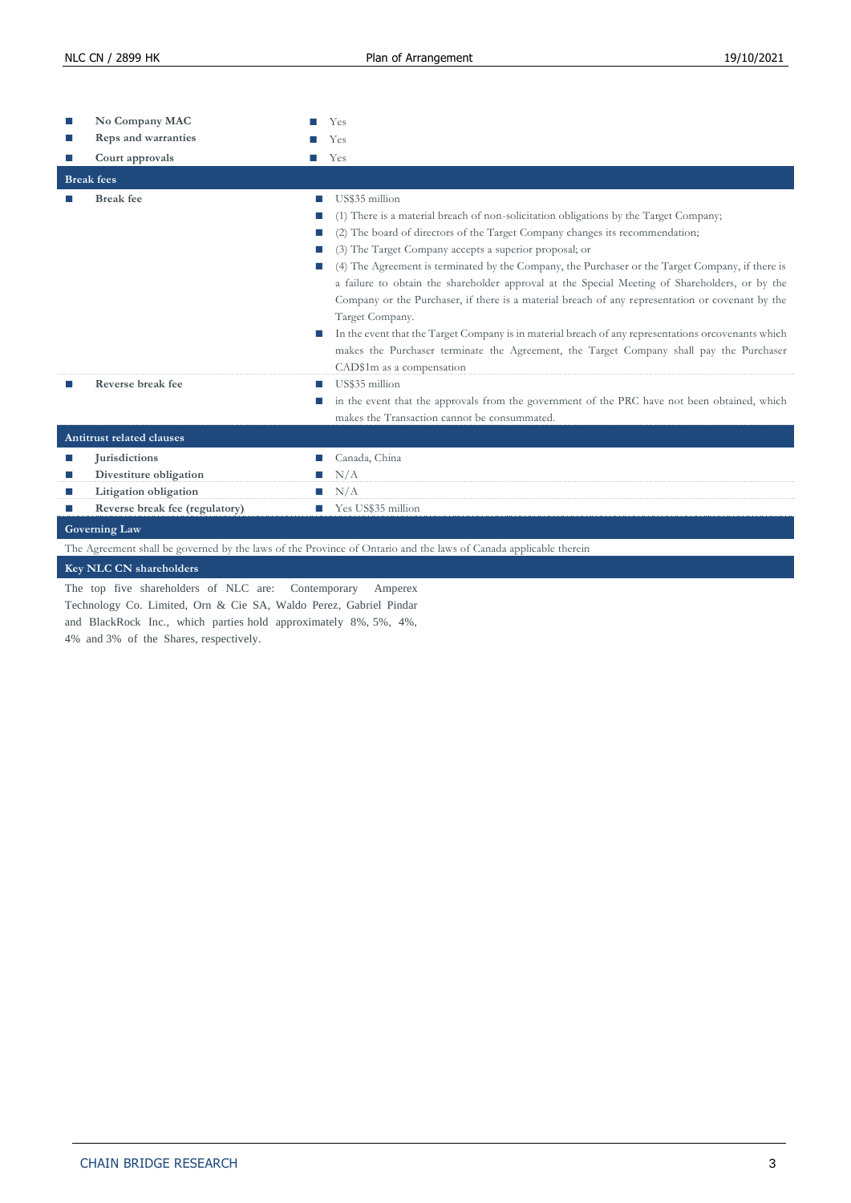|             | No Company MAC                                                          | Yes                                                                                                                                                                                                                                                                                                                                                                                                                                                                                                                                                                                                                                                                                                                                                                                                                           |
|-------------|-------------------------------------------------------------------------|-------------------------------------------------------------------------------------------------------------------------------------------------------------------------------------------------------------------------------------------------------------------------------------------------------------------------------------------------------------------------------------------------------------------------------------------------------------------------------------------------------------------------------------------------------------------------------------------------------------------------------------------------------------------------------------------------------------------------------------------------------------------------------------------------------------------------------|
|             | Reps and warranties                                                     | Yes                                                                                                                                                                                                                                                                                                                                                                                                                                                                                                                                                                                                                                                                                                                                                                                                                           |
|             | Court approvals                                                         | Yes                                                                                                                                                                                                                                                                                                                                                                                                                                                                                                                                                                                                                                                                                                                                                                                                                           |
|             | <b>Break</b> fees                                                       |                                                                                                                                                                                                                                                                                                                                                                                                                                                                                                                                                                                                                                                                                                                                                                                                                               |
|             | <b>Break</b> fee                                                        | US\$35 million<br>ш<br>(1) There is a material breach of non-solicitation obligations by the Target Company;<br>(2) The board of directors of the Target Company changes its recommendation;<br>(3) The Target Company accepts a superior proposal; or<br>(4) The Agreement is terminated by the Company, the Purchaser or the Target Company, if there is<br>ш<br>a failure to obtain the shareholder approval at the Special Meeting of Shareholders, or by the<br>Company or the Purchaser, if there is a material breach of any representation or covenant by the<br>Target Company.<br>In the event that the Target Company is in material breach of any representations or covenants which<br>П<br>makes the Purchaser terminate the Agreement, the Target Company shall pay the Purchaser<br>CAD\$1m as a compensation |
|             | Reverse break fee                                                       | US\$35 million<br>m.<br>in the event that the approvals from the government of the PRC have not been obtained, which<br>ш<br>makes the Transaction cannot be consummated.                                                                                                                                                                                                                                                                                                                                                                                                                                                                                                                                                                                                                                                     |
|             | <b>Antitrust related clauses</b>                                        |                                                                                                                                                                                                                                                                                                                                                                                                                                                                                                                                                                                                                                                                                                                                                                                                                               |
| ш<br>ш<br>ш | <b>Jurisdictions</b><br>Divestiture obligation<br>Litigation obligation | Canada, China<br>N/A<br>N/A                                                                                                                                                                                                                                                                                                                                                                                                                                                                                                                                                                                                                                                                                                                                                                                                   |
| ш           | Reverse break fee (regulatory)                                          | Yes US\$35 million<br>п                                                                                                                                                                                                                                                                                                                                                                                                                                                                                                                                                                                                                                                                                                                                                                                                       |
|             | <b>Governing Law</b>                                                    |                                                                                                                                                                                                                                                                                                                                                                                                                                                                                                                                                                                                                                                                                                                                                                                                                               |
|             |                                                                         | The Agreement shall be governed by the laws of the Province of Ontario and the laws of Canada applicable therein                                                                                                                                                                                                                                                                                                                                                                                                                                                                                                                                                                                                                                                                                                              |
|             |                                                                         |                                                                                                                                                                                                                                                                                                                                                                                                                                                                                                                                                                                                                                                                                                                                                                                                                               |
|             | <b>Key NLC CN shareholders</b>                                          |                                                                                                                                                                                                                                                                                                                                                                                                                                                                                                                                                                                                                                                                                                                                                                                                                               |

The top five shareholders of NLC are: Contemporary Amperex Technology Co. Limited, Orn & Cie SA, Waldo Perez, Gabriel Pindar and BlackRock Inc., which parties hold approximately 8%, 5%, 4%, 4% and 3% of the Shares, respectively.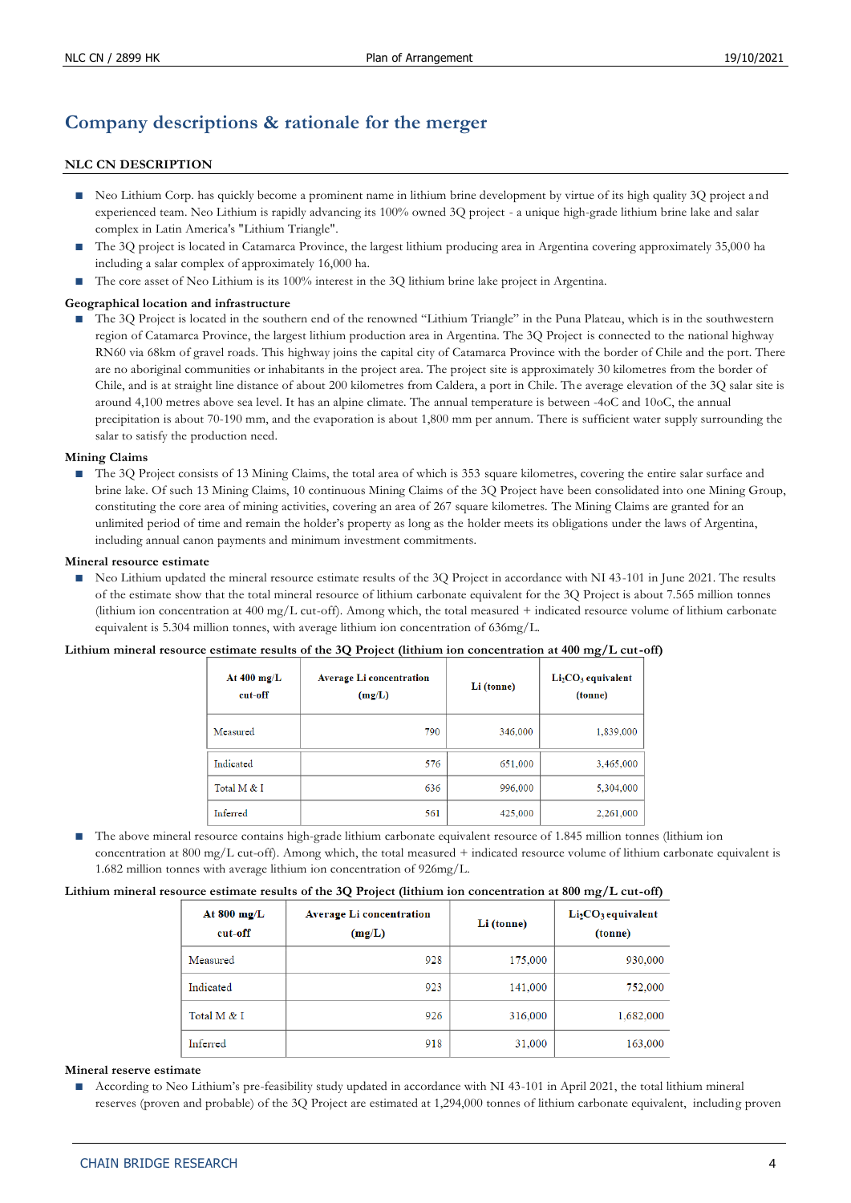# **Company descriptions & rationale for the merger**

## **NLC CN DESCRIPTION**

- Neo Lithium Corp. has quickly become a prominent name in lithium brine development by virtue of its high quality 3Q project and experienced team. Neo Lithium is rapidly advancing its 100% owned 3Q project - a unique high-grade lithium brine lake and salar complex in Latin America's "Lithium Triangle".
- The 3Q project is located in Catamarca Province, the largest lithium producing area in Argentina covering approximately 35,000 ha including a salar complex of approximately 16,000 ha.
- The core asset of Neo Lithium is its 100% interest in the 3Q lithium brine lake project in Argentina.

#### **Geographical location and infrastructure**

■ The 3Q Project is located in the southern end of the renowned "Lithium Triangle" in the Puna Plateau, which is in the southwestern region of Catamarca Province, the largest lithium production area in Argentina. The 3Q Project is connected to the national highway RN60 via 68km of gravel roads. This highway joins the capital city of Catamarca Province with the border of Chile and the port. There are no aboriginal communities or inhabitants in the project area. The project site is approximately 30 kilometres from the border of Chile, and is at straight line distance of about 200 kilometres from Caldera, a port in Chile. The average elevation of the 3Q salar site is around 4,100 metres above sea level. It has an alpine climate. The annual temperature is between -4oC and 10oC, the annual precipitation is about 70-190 mm, and the evaporation is about 1,800 mm per annum. There is sufficient water supply surrounding the salar to satisfy the production need.

#### **Mining Claims**

■ The 3Q Project consists of 13 Mining Claims, the total area of which is 353 square kilometres, covering the entire salar surface and brine lake. Of such 13 Mining Claims, 10 continuous Mining Claims of the 3Q Project have been consolidated into one Mining Group, constituting the core area of mining activities, covering an area of 267 square kilometres. The Mining Claims are granted for an unlimited period of time and remain the holder's property as long as the holder meets its obligations under the laws of Argentina, including annual canon payments and minimum investment commitments.

#### **Mineral resource estimate**

Neo Lithium updated the mineral resource estimate results of the 3Q Project in accordance with NI 43-101 in June 2021. The results of the estimate show that the total mineral resource of lithium carbonate equivalent for the 3Q Project is about 7.565 million tonnes (lithium ion concentration at 400 mg/L cut-off). Among which, the total measured + indicated resource volume of lithium carbonate equivalent is 5.304 million tonnes, with average lithium ion concentration of 636mg/L.

## **Lithium mineral resource estimate results of the 3Q Project (lithium ion concentration at 400 mg/L cut-off)**

| At $400 \text{ mg/L}$<br>cut-off | <b>Average Li concentration</b><br>(mg/L) | Li (tonne) | $Li2CO3$ equivalent<br>(tonne) |
|----------------------------------|-------------------------------------------|------------|--------------------------------|
| Measured                         | 790                                       | 346,000    | 1,839,000                      |
| Indicated                        | 576                                       | 651,000    | 3,465,000                      |
| Total M & I                      | 636                                       | 996,000    | 5,304,000                      |
| Inferred                         | 561                                       | 425,000    | 2,261,000                      |

The above mineral resource contains high-grade lithium carbonate equivalent resource of 1.845 million tonnes (lithium ion concentration at 800 mg/L cut-off). Among which, the total measured + indicated resource volume of lithium carbonate equivalent is 1.682 million tonnes with average lithium ion concentration of 926mg/L.

#### **Lithium mineral resource estimate results of the 3Q Project (lithium ion concentration at 800 mg/L cut-off)**

| At 800 mg/L<br>cut-off | <b>Average Li concentration</b><br>(mg/L) | Li (tonne) | $Li2CO3$ equivalent<br>(tonne) |
|------------------------|-------------------------------------------|------------|--------------------------------|
| Measured               | 928                                       | 175,000    | 930,000                        |
| Indicated              | 923                                       | 141,000    | 752,000                        |
| Total M & I            | 926                                       | 316,000    | 1,682,000                      |
| Inferred               | 918                                       | 31,000     | 163,000                        |

#### **Mineral reserve estimate**

■ According to Neo Lithium's pre-feasibility study updated in accordance with NI 43-101 in April 2021, the total lithium mineral reserves (proven and probable) of the 3Q Project are estimated at 1,294,000 tonnes of lithium carbonate equivalent, including proven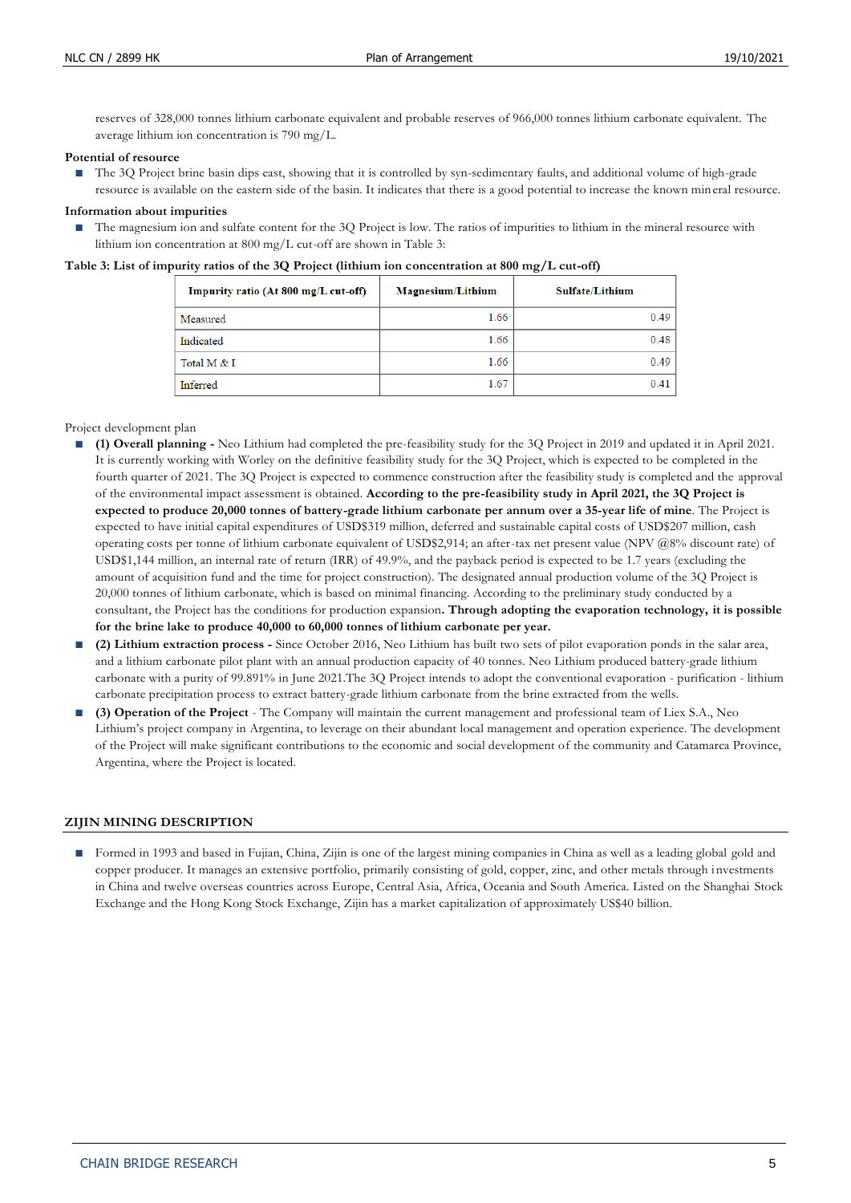reserves of 328,000 tonnes lithium carbonate equivalent and probable reserves of 966,000 tonnes lithium carbonate equivalent. The average lithium ion concentration is 790 mg/L.

#### **Potential of resource**

The 3O Project brine basin dips east, showing that it is controlled by syn-sedimentary faults, and additional volume of high-grade resource is available on the eastern side of the basin. It indicates that there is a good potential to increase the known mineral resource.

#### **Information about impurities**

The magnesium ion and sulfate content for the 3Q Project is low. The ratios of impurities to lithium in the mineral resource with lithium ion concentration at 800 mg/L cut-off are shown in Table 3:

**Table 3: List of impurity ratios of the 3Q Project (lithium ion concentration at 800 mg/L cut-off)**

| Impurity ratio (At 800 mg/L cut-off) | <b>Magnesium/Lithium</b> | <b>Sulfate/Lithium</b> |
|--------------------------------------|--------------------------|------------------------|
| Measured                             | 1.66                     | 0.49                   |
| Indicated                            | 1.66                     | 0.48                   |
| Total M & I                          | 1.66                     | 0.49                   |
| Inferred                             | 1.67                     | 0.41                   |

#### Project development plan

- **■ (1) Overall planning -** Neo Lithium had completed the pre-feasibility study for the 3Q Project in 2019 and updated it in April 2021. It is currently working with Worley on the definitive feasibility study for the 3Q Project, which is expected to be completed in the fourth quarter of 2021. The 3Q Project is expected to commence construction after the feasibility study is completed and the approval of the environmental impact assessment is obtained. **According to the pre-feasibility study in April 2021, the 3Q Project is expected to produce 20,000 tonnes of battery-grade lithium carbonate per annum over a 35-year life of mine**. The Project is expected to have initial capital expenditures of USD\$319 million, deferred and sustainable capital costs of USD\$207 million, cash operating costs per tonne of lithium carbonate equivalent of USD\$2,914; an after-tax net present value (NPV @8% discount rate) of USD\$1,144 million, an internal rate of return (IRR) of 49.9%, and the payback period is expected to be 1.7 years (excluding the amount of acquisition fund and the time for project construction). The designated annual production volume of the 3Q Project is 20,000 tonnes of lithium carbonate, which is based on minimal financing. According to the preliminary study conducted by a consultant, the Project has the conditions for production expansion**. Through adopting the evaporation technology, it is possible for the brine lake to produce 40,000 to 60,000 tonnes of lithium carbonate per year.**
- **■ (2) Lithium extraction process -** Since October 2016, Neo Lithium has built two sets of pilot evaporation ponds in the salar area, and a lithium carbonate pilot plant with an annual production capacity of 40 tonnes. Neo Lithium produced battery-grade lithium carbonate with a purity of 99.891% in June 2021.The 3Q Project intends to adopt the conventional evaporation - purification - lithium carbonate precipitation process to extract battery-grade lithium carbonate from the brine extracted from the wells.
- **■ (3) Operation of the Project** The Company will maintain the current management and professional team of Liex S.A., Neo Lithium's project company in Argentina, to leverage on their abundant local management and operation experience. The development of the Project will make significant contributions to the economic and social development of the community and Catamarca Province, Argentina, where the Project is located.

#### **ZIJIN MINING DESCRIPTION**

Formed in 1993 and based in Fujian, China, Zijin is one of the largest mining companies in China as well as a leading global gold and copper producer. It manages an extensive portfolio, primarily consisting of gold, copper, zinc, and other metals through investments in China and twelve overseas countries across Europe, Central Asia, Africa, Oceania and South America. Listed on the Shanghai Stock Exchange and the Hong Kong Stock Exchange, Zijin has a market capitalization of approximately US\$40 billion.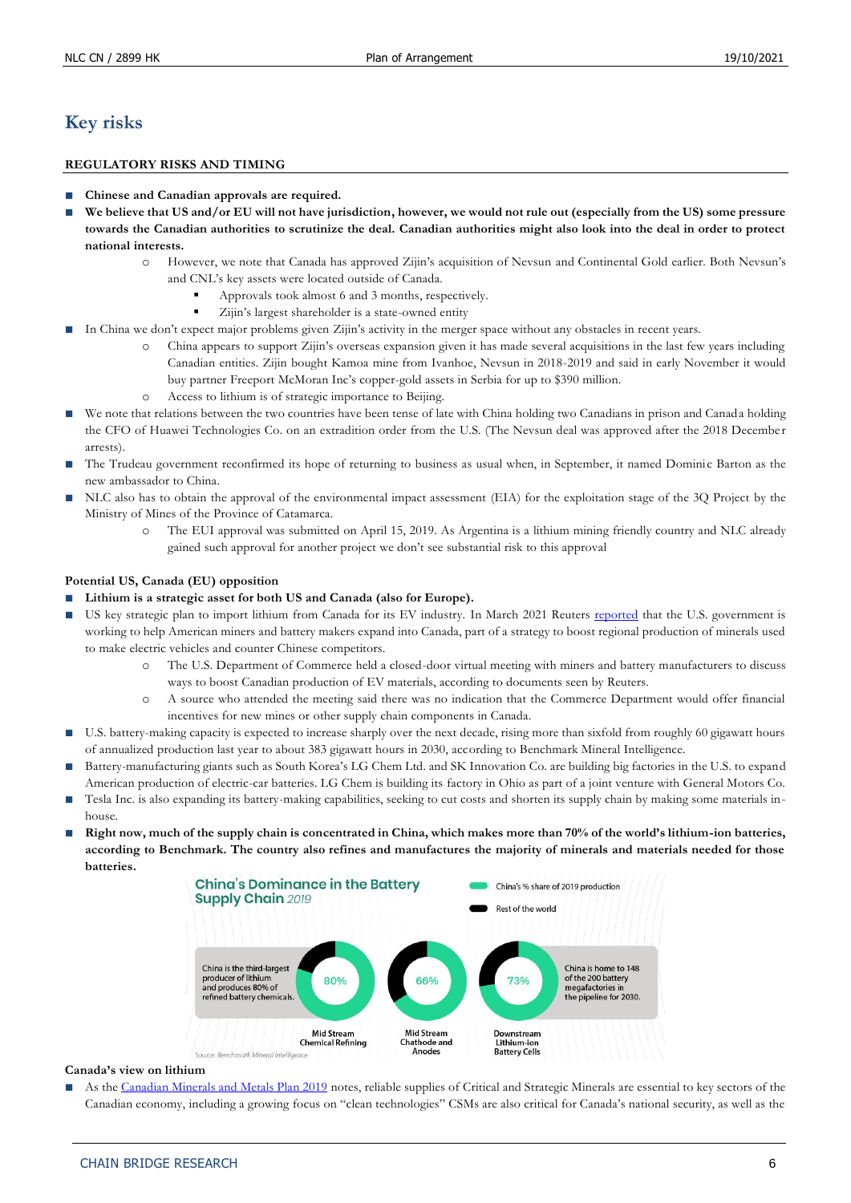# **Key risks**

### **REGULATORY RISKS AND TIMING**

- **■ Chinese and Canadian approvals are required.**
- **■ We believe that US and/or EU will not have jurisdiction, however, we would not rule out (especially from the US) some pressure towards the Canadian authorities to scrutinize the deal. Canadian authorities might also look into the deal in order to protect national interests.**
	- o However, we note that Canada has approved Zijin's acquisition of Nevsun and Continental Gold earlier. Both Nevsun's and CNL's key assets were located outside of Canada.
		- Approvals took almost 6 and 3 months, respectively.
			- Zijin's largest shareholder is a state-owned entity
- In China we don't expect major problems given Zijin's activity in the merger space without any obstacles in recent years.
	- o China appears to support Zijin's overseas expansion given it has made several acquisitions in the last few years including Canadian entities. Zijin bought Kamoa mine from Ivanhoe, Nevsun in 2018-2019 and said in early November it would buy partner Freeport McMoran Inc's copper-gold assets in Serbia for up to \$390 million.
	- o Access to lithium is of strategic importance to Beijing.
- We note that relations between the two countries have been tense of late with China holding two Canadians in prison and Canada holding the CFO of Huawei Technologies Co. on an extradition order from the U.S. (The Nevsun deal was approved after the 2018 December arrests).
- The Trudeau government reconfirmed its hope of returning to business as usual when, in September, it named Dominic Barton as the new ambassador to China.
- NLC also has to obtain the approval of the environmental impact assessment (EIA) for the exploitation stage of the 3Q Project by the Ministry of Mines of the Province of Catamarca.
	- o The EUI approval was submitted on April 15, 2019. As Argentina is a lithium mining friendly country and NLC already gained such approval for another project we don't see substantial risk to this approval

#### **Potential US, Canada (EU) opposition**

- **■ Lithium is a strategic asset for both US and Canada (also for Europe).**
- US key strategic plan to import lithium from Canada for its EV industry. In March 2021 Reuters [reported](https://www.reuters.com/article/us-usa-mining-canada-exclusive-idUSKBN2BA2AJ) that the U.S. government is working to help American miners and battery makers expand into Canada, part of a strategy to boost regional production of minerals used to make electric vehicles and counter Chinese competitors.
	- o The U.S. Department of Commerce held a closed-door virtual meeting with miners and battery manufacturers to discuss ways to boost Canadian production of EV materials, according to documents seen by Reuters.
	- o A source who attended the meeting said there was no indication that the Commerce Department would offer financial incentives for new mines or other supply chain components in Canada.
- U.S. battery-making capacity is expected to increase sharply over the next decade, rising more than sixfold from roughly 60 gigawatt hours of annualized production last year to about 383 gigawatt hours in 2030, according to Benchmark Mineral Intelligence.
- Battery-manufacturing giants such as South Korea's LG Chem Ltd. and SK Innovation Co. are building big factories in the U.S. to expand American production of electric-car batteries. LG Chem is building its factory in Ohio as part of a joint venture with General Motors Co.
- Tesla Inc. is also expanding its battery-making capabilities, seeking to cut costs and shorten its supply chain by making some materials inhouse.
- **■ Right now, much of the supply chain is concentrated in China, which makes more than 70% of the world's lithium-ion batteries, according to Benchmark. The country also refines and manufactures the majority of minerals and materials needed for those batteries.**



# **Canada's view on lithium**

As the [Canadian Minerals and Metals Plan 2019](https://www.nrcan.gc.ca/sites/www.nrcan.gc.ca/files/CMMP/CMMP_The_Plan-EN.pdf) notes, reliable supplies of Critical and Strategic Minerals are essential to key sectors of the Canadian economy, including a growing focus on "clean technologies" CSMs are also critical for Canada's national security, as well as the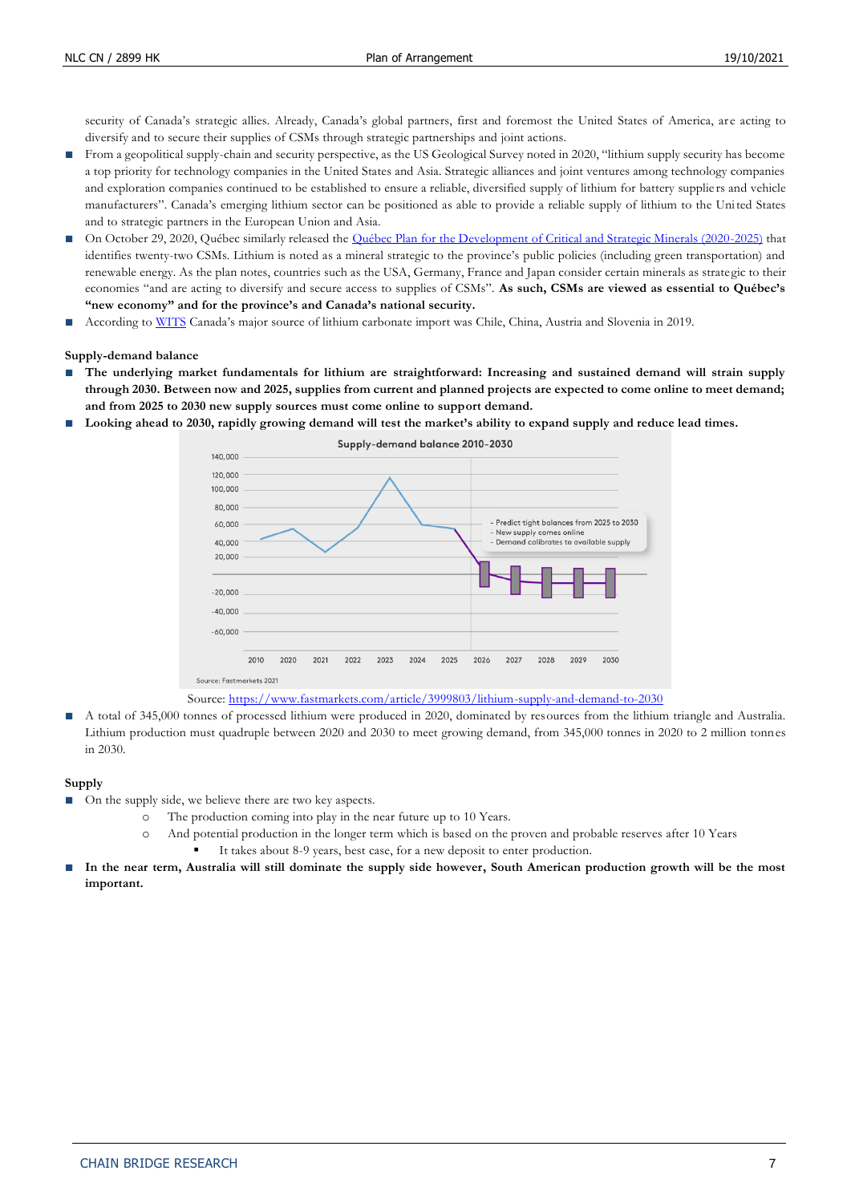security of Canada's strategic allies. Already, Canada's global partners, first and foremost the United States of America, are acting to diversify and to secure their supplies of CSMs through strategic partnerships and joint actions.

- From a geopolitical supply-chain and security perspective, as the US Geological Survey noted in 2020, "lithium supply security has become a top priority for technology companies in the United States and Asia. Strategic alliances and joint ventures among technology companies and exploration companies continued to be established to ensure a reliable, diversified supply of lithium for battery supplie rs and vehicle manufacturers". Canada's emerging lithium sector can be positioned as able to provide a reliable supply of lithium to the United States and to strategic partners in the European Union and Asia.
- On October 29, 2020, Québec similarly released the *Québec Plan for the Development of Critical and Strategic Minerals (2020-2025) that* identifies twenty-two CSMs. Lithium is noted as a mineral strategic to the province's public policies (including green transportation) and renewable energy. As the plan notes, countries such as the USA, Germany, France and Japan consider certain minerals as strategic to their economies "and are acting to diversify and secure access to supplies of CSMs". **As such, CSMs are viewed as essential to Québec's "new economy" and for the province's and Canada's national security.**
- According to [WITS](https://wits.worldbank.org/trade/comtrade/en/country/CAN/year/2019/tradeflow/Imports/partner/ALL/product/283691) Canada's major source of lithium carbonate import was Chile, China, Austria and Slovenia in 2019.

#### **Supply-demand balance**

- **■ The underlying market fundamentals for lithium are straightforward: Increasing and sustained demand will strain supply through 2030. Between now and 2025, supplies from current and planned projects are expected to come online to meet demand; and from 2025 to 2030 new supply sources must come online to support demand.**
- Looking ahead to 2030, rapidly growing demand will test the market's ability to expand supply and reduce lead times.



Source:<https://www.fastmarkets.com/article/3999803/lithium-supply-and-demand-to-2030>

■ A total of 345,000 tonnes of processed lithium were produced in 2020, dominated by resources from the lithium triangle and Australia. Lithium production must quadruple between 2020 and 2030 to meet growing demand, from 345,000 tonnes in 2020 to 2 million tonnes in 2030.

#### **Supply**

- On the supply side, we believe there are two key aspects.
	- o The production coming into play in the near future up to 10 Years.
		- o And potential production in the longer term which is based on the proven and probable reserves after 10 Years It takes about 8-9 years, best case, for a new deposit to enter production.
- **■ In the near term, Australia will still dominate the supply side however, South American production growth will be the most important.**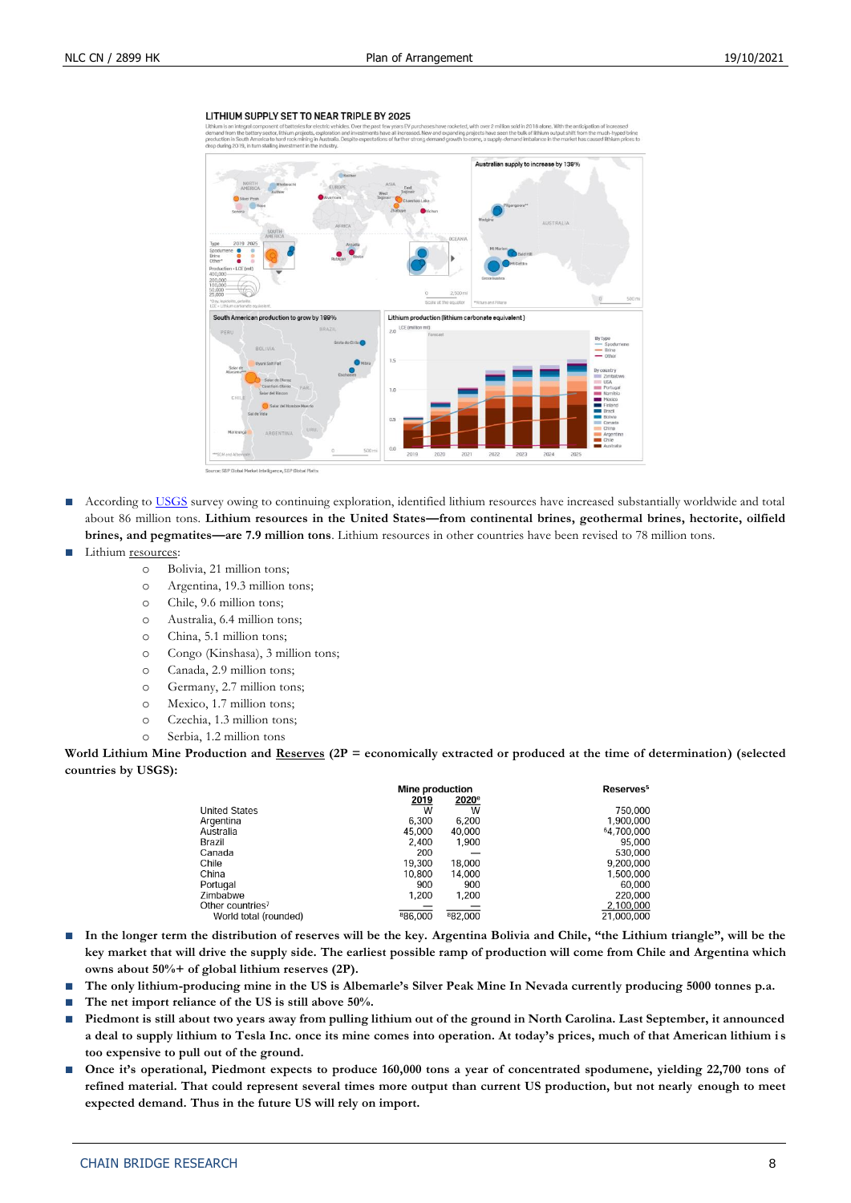#### LITHIUM SUPPLY SET TO NEAR TRIPLE BY 2025



- According to [USGS](https://pubs.usgs.gov/periodicals/mcs2021/mcs2021.pdf) survey owing to continuing exploration, identified lithium resources have increased substantially worldwide and total about 86 million tons. **Lithium resources in the United States—from continental brines, geothermal brines, hectorite, oilfield brines, and pegmatites—are 7.9 million tons**. Lithium resources in other countries have been revised to 78 million tons.
- Lithium resources:
	- o Bolivia, 21 million tons;
	- o Argentina, 19.3 million tons;
	- o Chile, 9.6 million tons;
	- o Australia, 6.4 million tons;
	- o China, 5.1 million tons;
	- o Congo (Kinshasa), 3 million tons;
	- o Canada, 2.9 million tons;
	- o Germany, 2.7 million tons;
	- o Mexico, 1.7 million tons;
	- o Czechia, 1.3 million tons;
	- Serbia, 1.2 million tons

**World Lithium Mine Production and Reserves (2P = economically extracted or produced at the time of determination) (selected countries by USGS):**

|                              | <b>Mine production</b> |                     | Reserves <sup>5</sup> |
|------------------------------|------------------------|---------------------|-----------------------|
|                              | 2019                   | 2020 <sup>e</sup>   |                       |
| <b>United States</b>         | W                      | w                   | 750,000               |
| Argentina                    | 6,300                  | 6.200               | 1,900,000             |
| Australia                    | 45,000                 | 40,000              | 64,700,000            |
| Brazil                       | 2,400                  | 1,900               | 95,000                |
| Canada                       | 200                    |                     | 530,000               |
| Chile                        | 19.300                 | 18,000              | 9,200,000             |
| China                        | 10.800                 | 14,000              | 1,500,000             |
| Portugal                     | 900                    | 900                 | 60,000                |
| Zimbabwe                     | 1.200                  | 1,200               | 220.000               |
| Other countries <sup>7</sup> |                        |                     | 2.100.000             |
| World total (rounded)        | 886.000                | <sup>8</sup> 82.000 | 21.000.000            |

- In the longer term the distribution of reserves will be the key. Argentina Bolivia and Chile, "the Lithium triangle", will be the **key market that will drive the supply side. The earliest possible ramp of production will come from Chile and Argentina which owns about 50%+ of global lithium reserves (2P).**
- **■ The only lithium-producing mine in the US is Albemarle's Silver Peak Mine In Nevada currently producing 5000 tonnes p.a.**
- **■ The net import reliance of the US is still above 50%.**
- **Piedmont is still about two years away from pulling lithium out of the ground in North Carolina. Last September, it announced a deal to supply lithium to Tesla Inc. once its mine comes into operation. At today's prices, much of that American lithium i s too expensive to pull out of the ground.**
- **Once it's operational, Piedmont expects to produce 160,000 tons a year of concentrated spodumene, yielding 22,700 tons of refined material. That could represent several times more output than current US production, but not nearly enough to meet expected demand. Thus in the future US will rely on import.**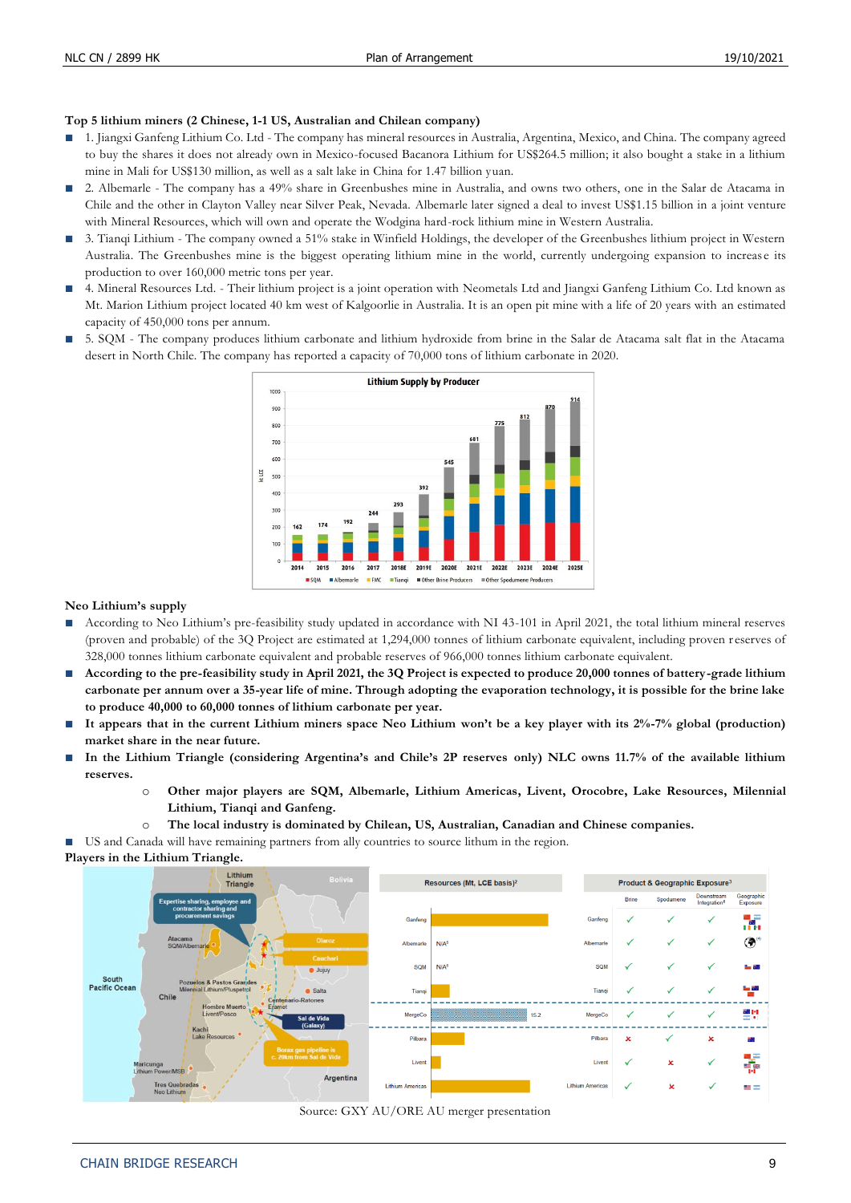# **Top 5 lithium miners (2 Chinese, 1-1 US, Australian and Chilean company)**

- **■** 1. Jiangxi Ganfeng Lithium Co. Ltd The company has mineral resources in Australia, Argentina, Mexico, and China. The company agreed to buy the shares it does not already own in Mexico-focused Bacanora Lithium for US\$264.5 million; it also bought a stake in a lithium mine in Mali for US\$130 million, as well as a salt lake in China for 1.47 billion yuan.
- 2. Albemarle The company has a 49% share in Greenbushes mine in Australia, and owns two others, one in the Salar de Atacama in Chile and the other in Clayton Valley near Silver Peak, Nevada. Albemarle later signed a deal to invest US\$1.15 billion in a joint venture with Mineral Resources, which will own and operate the Wodgina hard-rock lithium mine in Western Australia.
- 3. Tianqi Lithium The company owned a 51% stake in Winfield Holdings, the developer of the Greenbushes lithium project in Western Australia. The Greenbushes mine is the biggest operating lithium mine in the world, currently undergoing expansion to increas e its production to over 160,000 metric tons per year.
- **■** 4. Mineral Resources Ltd. Their lithium project is a joint operation with Neometals Ltd and Jiangxi Ganfeng Lithium Co. Ltd known as Mt. Marion Lithium project located 40 km west of Kalgoorlie in Australia. It is an open pit mine with a life of 20 years with an estimated capacity of 450,000 tons per annum.
- **■** 5. SQM The company produces lithium carbonate and lithium hydroxide from brine in the Salar de Atacama salt flat in the Atacama desert in North Chile. The company has reported a capacity of 70,000 tons of lithium carbonate in 2020.



## **Neo Lithium's supply**

- According to Neo Lithium's pre-feasibility study updated in accordance with NI 43-101 in April 2021, the total lithium mineral reserves (proven and probable) of the 3Q Project are estimated at 1,294,000 tonnes of lithium carbonate equivalent, including proven r eserves of 328,000 tonnes lithium carbonate equivalent and probable reserves of 966,000 tonnes lithium carbonate equivalent.
- **According to the pre-feasibility study in April 2021, the 3Q Project is expected to produce 20,000 tonnes of battery-grade lithium carbonate per annum over a 35-year life of mine. Through adopting the evaporation technology, it is possible for the brine lake to produce 40,000 to 60,000 tonnes of lithium carbonate per year.**
- It appears that in the current Lithium miners space Neo Lithium won't be a key player with its 2%-7% global (production) **market share in the near future.**
- **■ In the Lithium Triangle (considering Argentina's and Chile's 2P reserves only) NLC owns 11.7% of the available lithium reserves.**
	- o **Other major players are SQM, Albemarle, Lithium Americas, Livent, Orocobre, Lake Resources, Milennial Lithium, Tianqi and Ganfeng.**
	- o **The local industry is dominated by Chilean, US, Australian, Canadian and Chinese companies.**
- US and Canada will have remaining partners from ally countries to source lithum in the region.

# **Players in the Lithium Triangle.**



#### Source: GXY AU/ORE AU merger presentation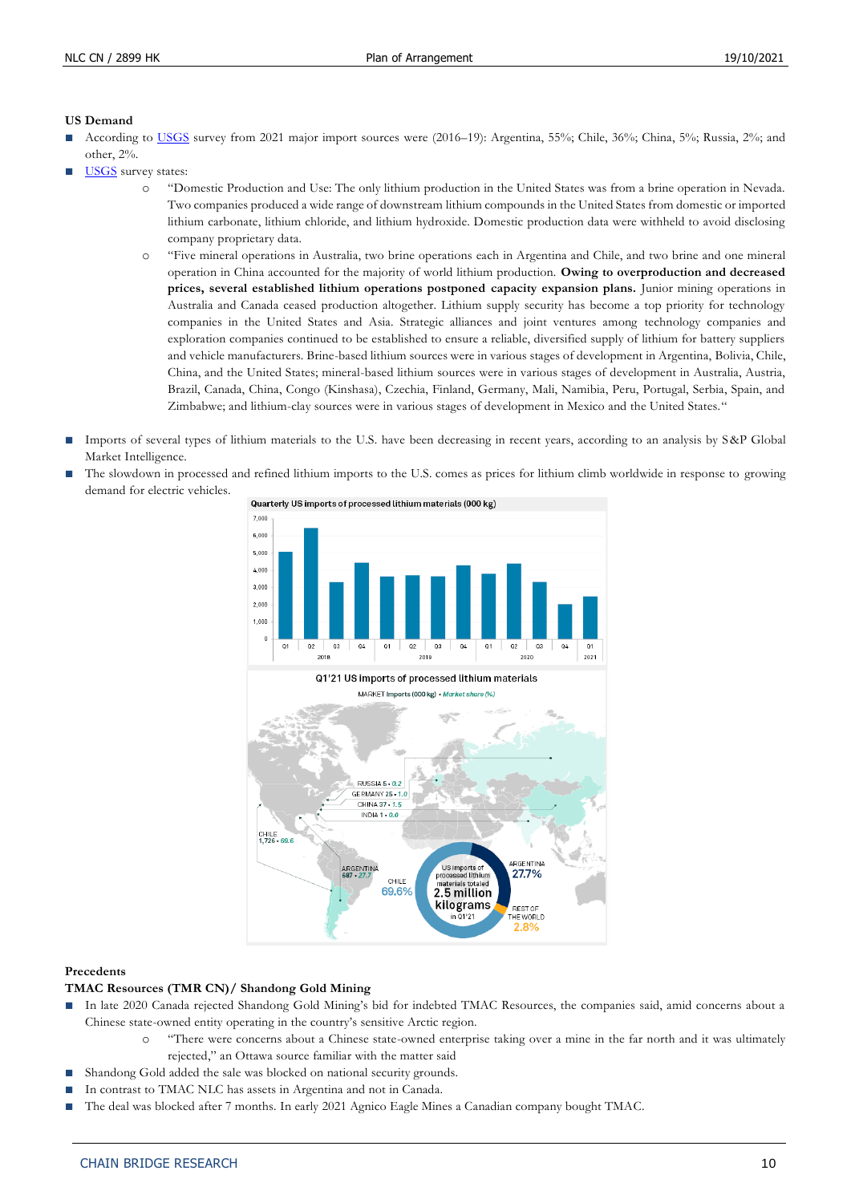# **US Demand**

- According to [USGS](https://pubs.usgs.gov/periodicals/mcs2021/mcs2021.pdf) survey from 2021 major import sources were (2016–19): Argentina, 55%; Chile, 36%; China, 5%; Russia, 2%; and other, 2%.
- **[USGS](https://pubs.usgs.gov/periodicals/mcs2021/mcs2021.pdf)** survey states:
	- o "Domestic Production and Use: The only lithium production in the United States was from a brine operation in Nevada. Two companies produced a wide range of downstream lithium compounds in the United States from domestic or imported lithium carbonate, lithium chloride, and lithium hydroxide. Domestic production data were withheld to avoid disclosing company proprietary data.
	- o "Five mineral operations in Australia, two brine operations each in Argentina and Chile, and two brine and one mineral operation in China accounted for the majority of world lithium production. **Owing to overproduction and decreased prices, several established lithium operations postponed capacity expansion plans.** Junior mining operations in Australia and Canada ceased production altogether. Lithium supply security has become a top priority for technology companies in the United States and Asia. Strategic alliances and joint ventures among technology companies and exploration companies continued to be established to ensure a reliable, diversified supply of lithium for battery suppliers and vehicle manufacturers. Brine-based lithium sources were in various stages of development in Argentina, Bolivia, Chile, China, and the United States; mineral-based lithium sources were in various stages of development in Australia, Austria, Brazil, Canada, China, Congo (Kinshasa), Czechia, Finland, Germany, Mali, Namibia, Peru, Portugal, Serbia, Spain, and Zimbabwe; and lithium-clay sources were in various stages of development in Mexico and the United States."
- Imports of several types of lithium materials to the U.S. have been decreasing in recent years, according to an analysis by S&P Global Market Intelligence.
- The slowdown in processed and refined lithium imports to the U.S. comes as prices for lithium climb worldwide in response to growing demand for electric vehicles.



#### **Precedents**

#### **TMAC Resources (TMR CN)/ Shandong Gold Mining**

- **■** In late 2020 Canada rejected Shandong Gold Mining's bid for indebted TMAC Resources, the companies said, amid concerns about a Chinese state-owned entity operating in the country's sensitive Arctic region.
	- o "There were concerns about a Chinese state-owned enterprise taking over a mine in the far north and it was ultimately rejected," an Ottawa source familiar with the matter said
- Shandong Gold added the sale was blocked on national security grounds.
- In contrast to TMAC NLC has assets in Argentina and not in Canada.
- The deal was blocked after 7 months. In early 2021 Agnico Eagle Mines a Canadian company bought TMAC.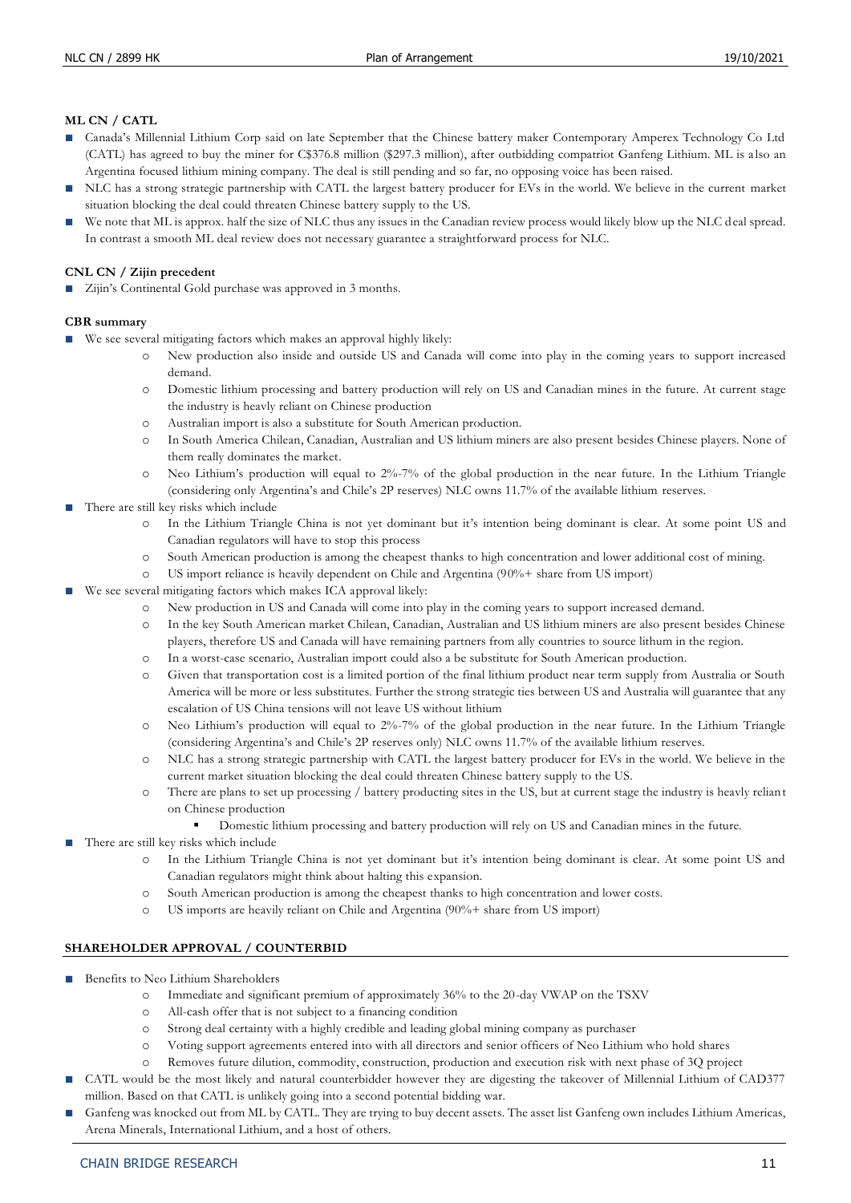## **ML CN / CATL**

- **■** Canada's Millennial Lithium Corp said on late September that the Chinese battery maker Contemporary Amperex Technology Co Ltd (CATL) has agreed to buy the miner for C\$376.8 million (\$297.3 million), after outbidding compatriot Ganfeng Lithium. ML is a lso an Argentina focused lithium mining company. The deal is still pending and so far, no opposing voice has been raised.
- NLC has a strong strategic partnership with CATL the largest battery producer for EVs in the world. We believe in the current market situation blocking the deal could threaten Chinese battery supply to the US.
- We note that ML is approx. half the size of NLC thus any issues in the Canadian review process would likely blow up the NLC deal spread. In contrast a smooth ML deal review does not necessary guarantee a straightforward process for NLC.

#### **CNL CN / Zijin precedent**

■ Zijin's Continental Gold purchase was approved in 3 months.

#### **CBR summary**

- We see several mitigating factors which makes an approval highly likely:
	- o New production also inside and outside US and Canada will come into play in the coming years to support increased demand.
	- o Domestic lithium processing and battery production will rely on US and Canadian mines in the future. At current stage the industry is heavly reliant on Chinese production
	- o Australian import is also a substitute for South American production.
	- o In South America Chilean, Canadian, Australian and US lithium miners are also present besides Chinese players. None of them really dominates the market.
	- o Neo Lithium's production will equal to 2%-7% of the global production in the near future. In the Lithium Triangle (considering only Argentina's and Chile's 2P reserves) NLC owns 11.7% of the available lithium reserves.
- There are still key risks which include
	- o In the Lithium Triangle China is not yet dominant but it's intention being dominant is clear. At some point US and Canadian regulators will have to stop this process
	- o South American production is among the cheapest thanks to high concentration and lower additional cost of mining.
	- o US import reliance is heavily dependent on Chile and Argentina (90%+ share from US import)
	- We see several mitigating factors which makes ICA approval likely:
		- o New production in US and Canada will come into play in the coming years to support increased demand.
		- o In the key South American market Chilean, Canadian, Australian and US lithium miners are also present besides Chinese players, therefore US and Canada will have remaining partners from ally countries to source lithum in the region.
		- o In a worst-case scenario, Australian import could also a be substitute for South American production.
		- o Given that transportation cost is a limited portion of the final lithium product near term supply from Australia or South America will be more or less substitutes. Further the strong strategic ties between US and Australia will guarantee that any escalation of US China tensions will not leave US without lithium
		- o Neo Lithium's production will equal to 2%-7% of the global production in the near future. In the Lithium Triangle (considering Argentina's and Chile's 2P reserves only) NLC owns 11.7% of the available lithium reserves.
		- o NLC has a strong strategic partnership with CATL the largest battery producer for EVs in the world. We believe in the current market situation blocking the deal could threaten Chinese battery supply to the US.
		- o There are plans to set up processing / battery producting sites in the US, but at current stage the industry is heavly reliant on Chinese production
			- Domestic lithium processing and battery production will rely on US and Canadian mines in the future.
- **■** There are still key risks which include
	- o In the Lithium Triangle China is not yet dominant but it's intention being dominant is clear. At some point US and Canadian regulators might think about halting this expansion.
	- o South American production is among the cheapest thanks to high concentration and lower costs.
	- o US imports are heavily reliant on Chile and Argentina (90%+ share from US import)

#### **SHAREHOLDER APPROVAL / COUNTERBID**

- **■** Benefits to Neo Lithium Shareholders
	- o Immediate and significant premium of approximately 36% to the 20-day VWAP on the TSXV
	- o All-cash offer that is not subject to a financing condition
	- o Strong deal certainty with a highly credible and leading global mining company as purchaser
	- o Voting support agreements entered into with all directors and senior officers of Neo Lithium who hold shares
	- o Removes future dilution, commodity, construction, production and execution risk with next phase of 3Q project
- CATL would be the most likely and natural counterbidder however they are digesting the takeover of Millennial Lithium of CAD377 million. Based on that CATL is unlikely going into a second potential bidding war.
- Ganfeng was knocked out from ML by CATL. They are trying to buy decent assets. The asset list Ganfeng own includes Lithium Americas, Arena Minerals, International Lithium, and a host of others.